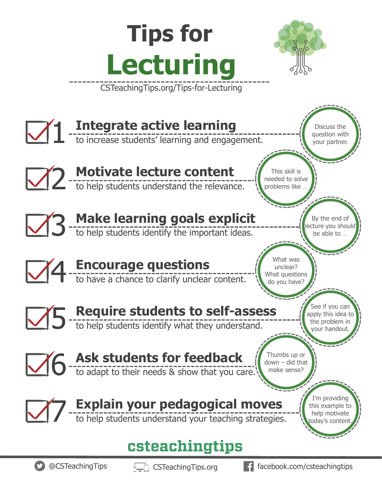#### **Tips for Lecturing**  CSTeachingTips.org/Tips-for-Lecturing **Integrate active learning**  $\mathbf{1}$ Discuss the question with to increase students' learning and engagement. your partner. 2 **Motivate lecture content** This skill is needed to solve to help students understand the relevance. problems like … 3 **Make learning goals explicit** By the end of ecture you should to help students identify the important ideas. be able to … What was 4 **Encourage questions** unclear? What questions to have a chance to clarify unclear content. do you have? See if you can 5 **Require students to self-assess** apply this idea to the problem in to help students identify what they understand. your handout. 6 **Ask students for feedback Ask students for feedback** Thumbs up or down – did that make sense? I'm providing 7 **Explain your pedagogical moves** this example to to help students understand your teaching strategies. help motivate oday's content csteachingtips